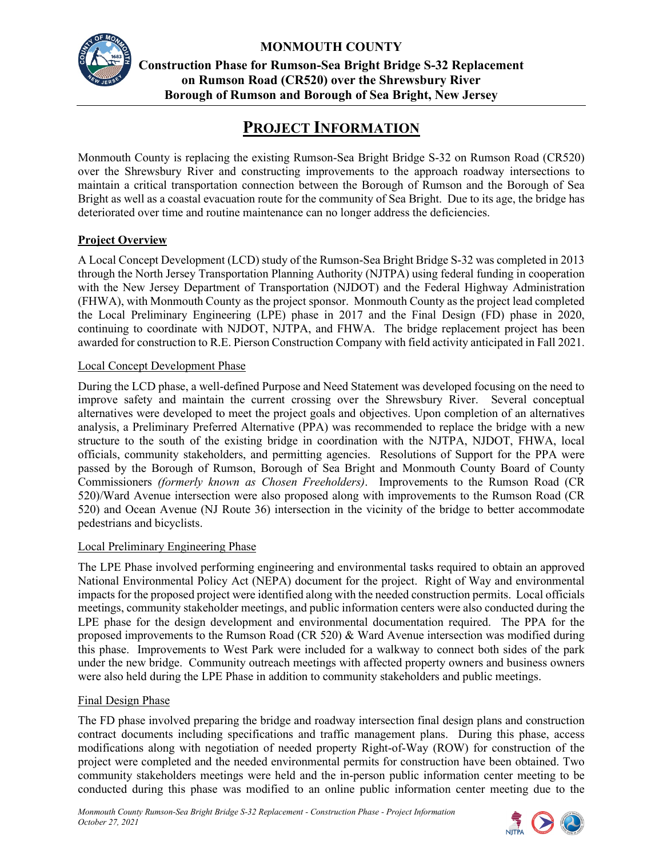

# **MONMOUTH COUNTY**

**Construction Phase for Rumson-Sea Bright Bridge S-32 Replacement on Rumson Road (CR520) over the Shrewsbury River Borough of Rumson and Borough of Sea Bright, New Jersey**

# **PROJECT INFORMATION**

Monmouth County is replacing the existing Rumson-Sea Bright Bridge S-32 on Rumson Road (CR520) over the Shrewsbury River and constructing improvements to the approach roadway intersections to maintain a critical transportation connection between the Borough of Rumson and the Borough of Sea Bright as well as a coastal evacuation route for the community of Sea Bright. Due to its age, the bridge has deteriorated over time and routine maintenance can no longer address the deficiencies.

## **Project Overview**

A Local Concept Development (LCD) study of the Rumson-Sea Bright Bridge S-32 was completed in 2013 through the North Jersey Transportation Planning Authority (NJTPA) using federal funding in cooperation with the New Jersey Department of Transportation (NJDOT) and the Federal Highway Administration (FHWA), with Monmouth County as the project sponsor. Monmouth County as the project lead completed the Local Preliminary Engineering (LPE) phase in 2017 and the Final Design (FD) phase in 2020, continuing to coordinate with NJDOT, NJTPA, and FHWA. The bridge replacement project has been awarded for construction to R.E. Pierson Construction Company with field activity anticipated in Fall 2021.

## Local Concept Development Phase

During the LCD phase, a well-defined Purpose and Need Statement was developed focusing on the need to improve safety and maintain the current crossing over the Shrewsbury River. Several conceptual alternatives were developed to meet the project goals and objectives. Upon completion of an alternatives analysis, a Preliminary Preferred Alternative (PPA) was recommended to replace the bridge with a new structure to the south of the existing bridge in coordination with the NJTPA, NJDOT, FHWA, local officials, community stakeholders, and permitting agencies. Resolutions of Support for the PPA were passed by the Borough of Rumson, Borough of Sea Bright and Monmouth County Board of County Commissioners *(formerly known as Chosen Freeholders)*. Improvements to the Rumson Road (CR 520)/Ward Avenue intersection were also proposed along with improvements to the Rumson Road (CR 520) and Ocean Avenue (NJ Route 36) intersection in the vicinity of the bridge to better accommodate pedestrians and bicyclists.

## Local Preliminary Engineering Phase

The LPE Phase involved performing engineering and environmental tasks required to obtain an approved National Environmental Policy Act (NEPA) document for the project. Right of Way and environmental impacts for the proposed project were identified along with the needed construction permits. Local officials meetings, community stakeholder meetings, and public information centers were also conducted during the LPE phase for the design development and environmental documentation required. The PPA for the proposed improvements to the Rumson Road (CR 520) & Ward Avenue intersection was modified during this phase. Improvements to West Park were included for a walkway to connect both sides of the park under the new bridge. Community outreach meetings with affected property owners and business owners were also held during the LPE Phase in addition to community stakeholders and public meetings.

## Final Design Phase

The FD phase involved preparing the bridge and roadway intersection final design plans and construction contract documents including specifications and traffic management plans. During this phase, access modifications along with negotiation of needed property Right-of-Way (ROW) for construction of the project were completed and the needed environmental permits for construction have been obtained. Two community stakeholders meetings were held and the in-person public information center meeting to be conducted during this phase was modified to an online public information center meeting due to the